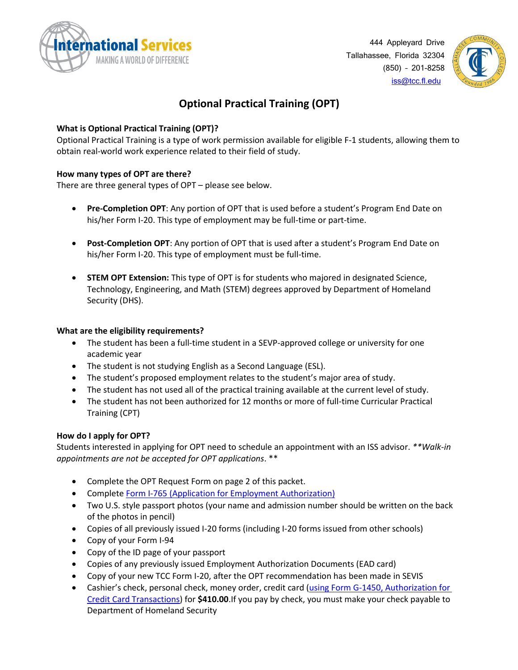



## **Optional Practical Training (OPT)**

## **What is Optional Practical Training (OPT)?**

Optional Practical Training is a type of work permission available for eligible F-1 students, allowing them to obtain real-world work experience related to their field of study.

## **How many types of OPT are there?**

There are three general types of OPT – please see below.

- **Pre-Completion OPT**: Any portion of OPT that is used before a student's Program End Date on his/her Form I-20. This type of employment may be full-time or part-time.
- **Post-Completion OPT**: Any portion of OPT that is used after a student's Program End Date on his/her Form I-20. This type of employment must be full-time.
- **STEM OPT Extension:** This type of OPT is for students who majored in designated Science, Technology, Engineering, and Math (STEM) degrees approved by Department of Homeland Security (DHS).

### **What are the eligibility requirements?**

- The student has been a full-time student in a SEVP-approved college or university for one academic year
- The student is not studying English as a Second Language (ESL).
- The student's proposed employment relates to the student's major area of study.
- The student has not used all of the practical training available at the current level of study.
- The student has not been authorized for 12 months or more of full-time Curricular Practical Training (CPT)

#### **How do I apply for OPT?**

Students interested in applying for OPT need to schedule an appointment with an ISS advisor. *\*\*Walk-in appointments are not be accepted for OPT applications*. \*\*

- Complete the OPT Request Form on page 2 of this packet.
- Complete [Form I-765 \(Application for Employment Authorization\)](https://www.uscis.gov/i-765)
- Two U.S. style passport photos (your name and admission number should be written on the back of the photos in pencil)
- Copies of all previously issued I-20 forms (including I-20 forms issued from other schools)
- Copy of your Form I-94
- Copy of the ID page of your passport
- Copies of any previously issued Employment Authorization Documents (EAD card)
- Copy of your new TCC Form I-20, after the OPT recommendation has been made in SEVIS
- Cashier's check, personal check, money order, credit card [\(using Form G-1450, Authorization for](https://www.uscis.gov/g-1450)  [Credit Card Transactions\)](https://www.uscis.gov/g-1450) for **\$410.00**.If you pay by check, you must make your check payable to Department of Homeland Security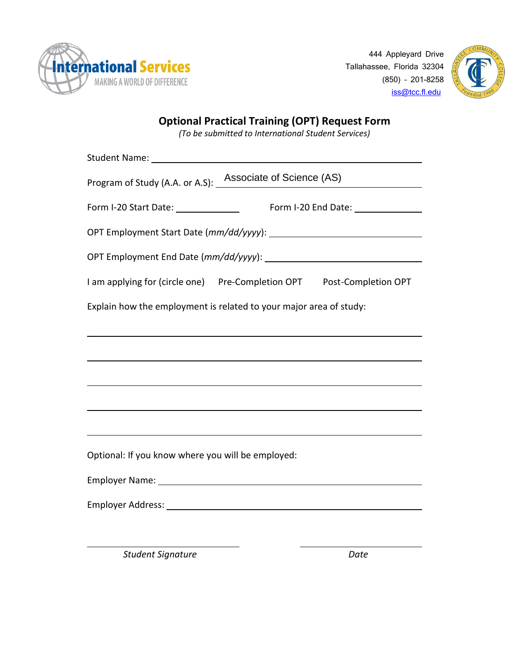

444 Appleyard Drive Tallahassee, Florida 32304 (850) – 201-8258 [iss@tcc.fl.edu](mailto:iss@tcc.fl.edu)



# **Optional Practical Training (OPT) Request Form**

*(To be submitted to International Student Services)*

| Program of Study (A.A. or A.S): _ Associate of Science (AS)                                                   |
|---------------------------------------------------------------------------------------------------------------|
| Form I-20 Start Date: _______________                                                                         |
|                                                                                                               |
|                                                                                                               |
| I am applying for (circle one)    Pre-Completion OPT    Post-Completion OPT                                   |
| Explain how the employment is related to your major area of study:                                            |
|                                                                                                               |
|                                                                                                               |
|                                                                                                               |
|                                                                                                               |
|                                                                                                               |
| Optional: If you know where you will be employed:                                                             |
| Employer Name: 1998 and 2008 and 2008 and 2008 and 2008 and 2008 and 2008 and 2008 and 2008 and 2008 and 2008 |
|                                                                                                               |
|                                                                                                               |

*Student Signature Date*